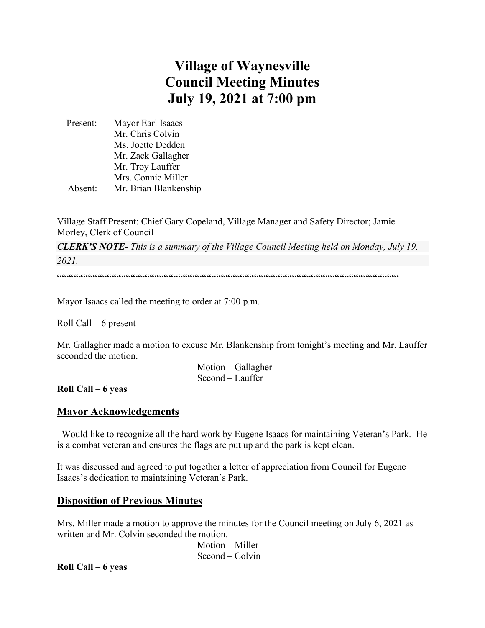# **Village of Waynesville Council Meeting Minutes July 19, 2021 at 7:00 pm**

 Present: Mayor Earl Isaacs Mr. Chris Colvin Ms. Joette Dedden Mr. Zack Gallagher Mr. Troy Lauffer Mrs. Connie Miller Absent: Mr. Brian Blankenship

Village Staff Present: Chief Gary Copeland, Village Manager and Safety Director; Jamie Morley, Clerk of Council

*CLERK'S NOTE- This is a summary of the Village Council Meeting held on Monday, July 19, 2021.* 

""""""""""""""""""""""""""""""""""""""""""""""""""""""""""""""""""""""""

Mayor Isaacs called the meeting to order at 7:00 p.m.

Roll Call – 6 present

Mr. Gallagher made a motion to excuse Mr. Blankenship from tonight's meeting and Mr. Lauffer seconded the motion.

> Motion – Gallagher Second – Lauffer

**Roll Call – 6 yeas**

#### **Mayor Acknowledgements**

 Would like to recognize all the hard work by Eugene Isaacs for maintaining Veteran's Park. He is a combat veteran and ensures the flags are put up and the park is kept clean.

It was discussed and agreed to put together a letter of appreciation from Council for Eugene Isaacs's dedication to maintaining Veteran's Park.

#### **Disposition of Previous Minutes**

Mrs. Miller made a motion to approve the minutes for the Council meeting on July 6, 2021 as written and Mr. Colvin seconded the motion.

> Motion – Miller Second – Colvin

**Roll Call – 6 yeas**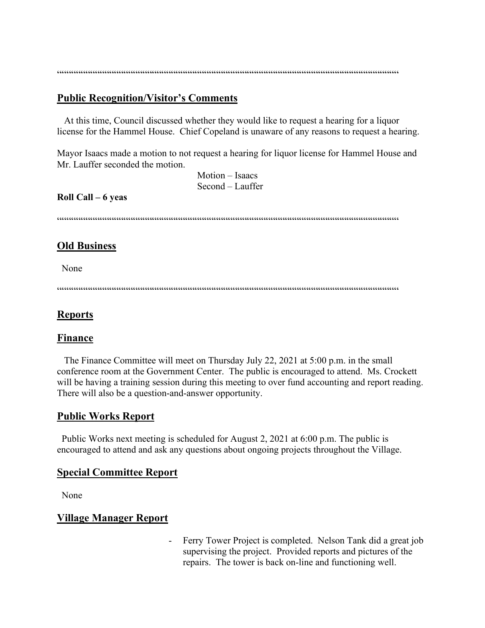$\label{prop:main} \hspace{1.5cm} \hspace{1.5cm} \hspace{1.5cm} \hspace{1.5cm} \hspace{1.5cm} \hspace{1.5cm} \hspace{1.5cm} \hspace{1.5cm} \hspace{1.5cm} \hspace{1.5cm} \hspace{1.5cm} \hspace{1.5cm} \hspace{1.5cm} \hspace{1.5cm} \hspace{1.5cm} \hspace{1.5cm} \hspace{1.5cm} \hspace{1.5cm} \hspace{1.5cm} \hspace{1.5cm} \hspace{1.5cm} \hspace{1.5cm} \hspace{1.5cm} \hspace{1.$ 

# **Public Recognition/Visitor's Comments**

 At this time, Council discussed whether they would like to request a hearing for a liquor license for the Hammel House. Chief Copeland is unaware of any reasons to request a hearing.

Mayor Isaacs made a motion to not request a hearing for liquor license for Hammel House and Mr. Lauffer seconded the motion.

> Motion – Isaacs Second – Lauffer

#### **Roll Call – 6 yeas**

 $\label{prop:main} \hspace{1.5cm} \hspace{1.5cm} \textcolor{blue}{\bullet} \hspace{1.5cm} \textcolor{blue}{\bullet} \hspace{1.5cm} \textcolor{blue}{\bullet} \hspace{1.5cm} \textcolor{blue}{\bullet} \hspace{1.5cm} \textcolor{blue}{\bullet} \hspace{1.5cm} \textcolor{blue}{\bullet} \hspace{1.5cm} \textcolor{blue}{\bullet} \hspace{1.5cm} \textcolor{blue}{\bullet} \hspace{1.5cm} \textcolor{blue}{\bullet} \hspace{1.5cm} \textcolor{blue}{\bullet} \hspace{1.5cm} \textcolor{blue}{\bullet} \hspace{1.$ 

# **Old Business**

None

 $\label{prop:main} \hspace{1.5cm} \hspace{1.5cm} \textcolor{blue}{\bullet} \hspace{1.5cm} \textcolor{blue}{\bullet} \hspace{1.5cm} \textcolor{blue}{\bullet} \hspace{1.5cm} \textcolor{blue}{\bullet} \hspace{1.5cm} \textcolor{blue}{\bullet} \hspace{1.5cm} \textcolor{blue}{\bullet} \hspace{1.5cm} \textcolor{blue}{\bullet} \hspace{1.5cm} \textcolor{blue}{\bullet} \hspace{1.5cm} \textcolor{blue}{\bullet} \hspace{1.5cm} \textcolor{blue}{\bullet} \hspace{1.5cm} \textcolor{blue}{\bullet} \hspace{1.$ 

#### **Reports**

#### **Finance**

 The Finance Committee will meet on Thursday July 22, 2021 at 5:00 p.m. in the small conference room at the Government Center. The public is encouraged to attend. Ms. Crockett will be having a training session during this meeting to over fund accounting and report reading. There will also be a question-and-answer opportunity.

# **Public Works Report**

 Public Works next meeting is scheduled for August 2, 2021 at 6:00 p.m. The public is encouraged to attend and ask any questions about ongoing projects throughout the Village.

#### **Special Committee Report**

None

# **Village Manager Report**

- Ferry Tower Project is completed. Nelson Tank did a great job supervising the project. Provided reports and pictures of the repairs. The tower is back on-line and functioning well.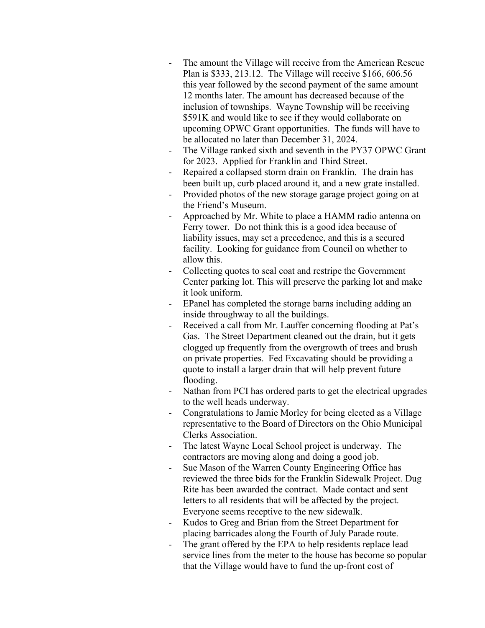- The amount the Village will receive from the American Rescue Plan is \$333, 213.12. The Village will receive \$166, 606.56 this year followed by the second payment of the same amount 12 months later. The amount has decreased because of the inclusion of townships. Wayne Township will be receiving \$591K and would like to see if they would collaborate on upcoming OPWC Grant opportunities. The funds will have to be allocated no later than December 31, 2024.
- The Village ranked sixth and seventh in the PY37 OPWC Grant for 2023. Applied for Franklin and Third Street.
- Repaired a collapsed storm drain on Franklin. The drain has been built up, curb placed around it, and a new grate installed.
- Provided photos of the new storage garage project going on at the Friend's Museum.
- Approached by Mr. White to place a HAMM radio antenna on Ferry tower. Do not think this is a good idea because of liability issues, may set a precedence, and this is a secured facility. Looking for guidance from Council on whether to allow this.
- Collecting quotes to seal coat and restripe the Government Center parking lot. This will preserve the parking lot and make it look uniform.
- EPanel has completed the storage barns including adding an inside throughway to all the buildings.
- Received a call from Mr. Lauffer concerning flooding at Pat's Gas. The Street Department cleaned out the drain, but it gets clogged up frequently from the overgrowth of trees and brush on private properties. Fed Excavating should be providing a quote to install a larger drain that will help prevent future flooding.
- Nathan from PCI has ordered parts to get the electrical upgrades to the well heads underway.
- Congratulations to Jamie Morley for being elected as a Village representative to the Board of Directors on the Ohio Municipal Clerks Association.
- The latest Wayne Local School project is underway. The contractors are moving along and doing a good job.
- Sue Mason of the Warren County Engineering Office has reviewed the three bids for the Franklin Sidewalk Project. Dug Rite has been awarded the contract. Made contact and sent letters to all residents that will be affected by the project. Everyone seems receptive to the new sidewalk.
- Kudos to Greg and Brian from the Street Department for placing barricades along the Fourth of July Parade route.
- The grant offered by the EPA to help residents replace lead service lines from the meter to the house has become so popular that the Village would have to fund the up-front cost of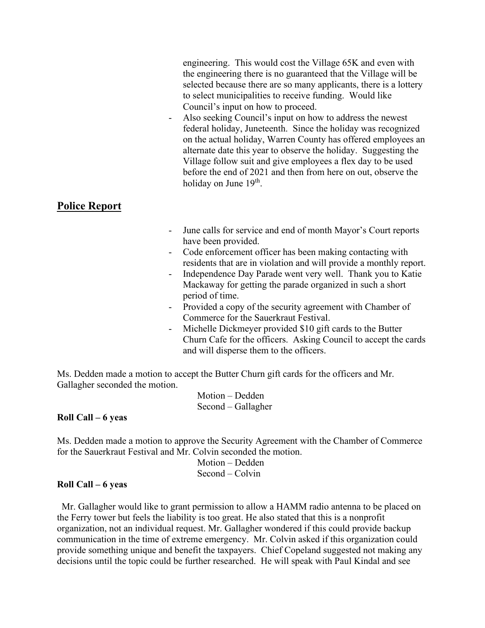engineering. This would cost the Village 65K and even with the engineering there is no guaranteed that the Village will be selected because there are so many applicants, there is a lottery to select municipalities to receive funding. Would like Council's input on how to proceed.

Also seeking Council's input on how to address the newest federal holiday, Juneteenth. Since the holiday was recognized on the actual holiday, Warren County has offered employees an alternate date this year to observe the holiday. Suggesting the Village follow suit and give employees a flex day to be used before the end of 2021 and then from here on out, observe the holiday on June  $19<sup>th</sup>$ .

# **Police Report**

- June calls for service and end of month Mayor's Court reports have been provided.
- Code enforcement officer has been making contacting with residents that are in violation and will provide a monthly report.
- Independence Day Parade went very well. Thank you to Katie Mackaway for getting the parade organized in such a short period of time.
- Provided a copy of the security agreement with Chamber of Commerce for the Sauerkraut Festival.
- Michelle Dickmeyer provided \$10 gift cards to the Butter Churn Cafe for the officers. Asking Council to accept the cards and will disperse them to the officers.

Ms. Dedden made a motion to accept the Butter Churn gift cards for the officers and Mr. Gallagher seconded the motion.

> Motion – Dedden Second – Gallagher

#### **Roll Call – 6 yeas**

Ms. Dedden made a motion to approve the Security Agreement with the Chamber of Commerce for the Sauerkraut Festival and Mr. Colvin seconded the motion.

 Motion – Dedden Second – Colvin

# **Roll Call – 6 yeas**

 Mr. Gallagher would like to grant permission to allow a HAMM radio antenna to be placed on the Ferry tower but feels the liability is too great. He also stated that this is a nonprofit organization, not an individual request. Mr. Gallagher wondered if this could provide backup communication in the time of extreme emergency. Mr. Colvin asked if this organization could provide something unique and benefit the taxpayers. Chief Copeland suggested not making any decisions until the topic could be further researched. He will speak with Paul Kindal and see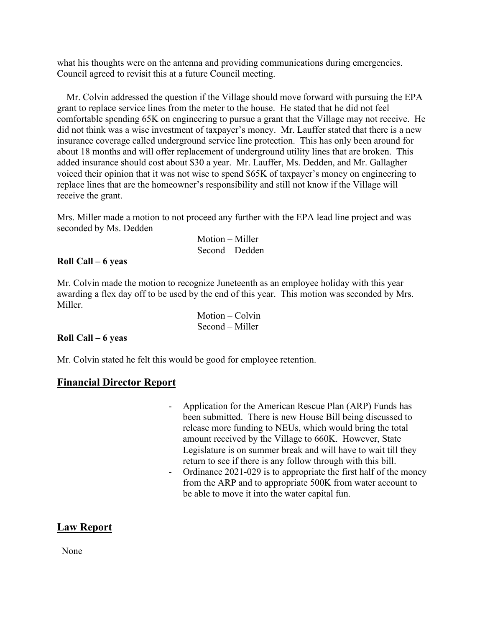what his thoughts were on the antenna and providing communications during emergencies. Council agreed to revisit this at a future Council meeting.

 Mr. Colvin addressed the question if the Village should move forward with pursuing the EPA grant to replace service lines from the meter to the house. He stated that he did not feel comfortable spending 65K on engineering to pursue a grant that the Village may not receive. He did not think was a wise investment of taxpayer's money. Mr. Lauffer stated that there is a new insurance coverage called underground service line protection. This has only been around for about 18 months and will offer replacement of underground utility lines that are broken. This added insurance should cost about \$30 a year. Mr. Lauffer, Ms. Dedden, and Mr. Gallagher voiced their opinion that it was not wise to spend \$65K of taxpayer's money on engineering to replace lines that are the homeowner's responsibility and still not know if the Village will receive the grant.

Mrs. Miller made a motion to not proceed any further with the EPA lead line project and was seconded by Ms. Dedden

> Motion – Miller Second – Dedden

#### **Roll Call – 6 yeas**

Mr. Colvin made the motion to recognize Juneteenth as an employee holiday with this year awarding a flex day off to be used by the end of this year. This motion was seconded by Mrs. Miller.

| Motion – Colvin   |
|-------------------|
| $Second - Miller$ |

#### **Roll Call – 6 yeas**

Mr. Colvin stated he felt this would be good for employee retention.

# **Financial Director Report**

- Application for the American Rescue Plan (ARP) Funds has been submitted. There is new House Bill being discussed to release more funding to NEUs, which would bring the total amount received by the Village to 660K. However, State Legislature is on summer break and will have to wait till they return to see if there is any follow through with this bill.
- Ordinance 2021-029 is to appropriate the first half of the money from the ARP and to appropriate 500K from water account to be able to move it into the water capital fun.

# **Law Report**

None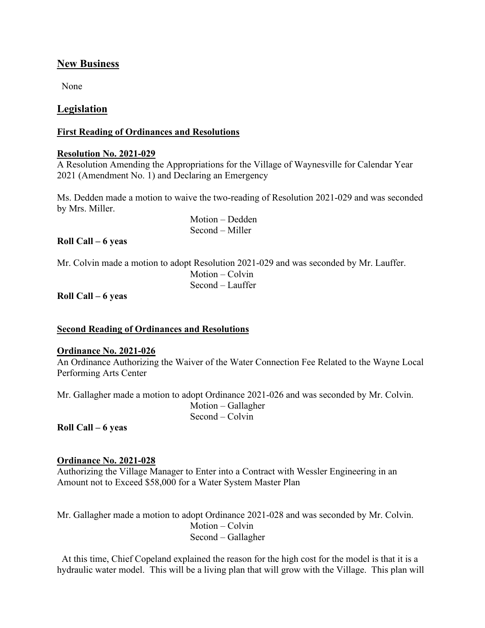# **New Business**

None

# **Legislation**

## **First Reading of Ordinances and Resolutions**

#### **Resolution No. 2021-029**

A Resolution Amending the Appropriations for the Village of Waynesville for Calendar Year 2021 (Amendment No. 1) and Declaring an Emergency

Ms. Dedden made a motion to waive the two-reading of Resolution 2021-029 and was seconded by Mrs. Miller.

> Motion – Dedden Second – Miller

## **Roll Call – 6 yeas**

Mr. Colvin made a motion to adopt Resolution 2021-029 and was seconded by Mr. Lauffer. Motion – Colvin Second – Lauffer

**Roll Call – 6 yeas**

#### **Second Reading of Ordinances and Resolutions**

#### **Ordinance No. 2021-026**

An Ordinance Authorizing the Waiver of the Water Connection Fee Related to the Wayne Local Performing Arts Center

Mr. Gallagher made a motion to adopt Ordinance 2021-026 and was seconded by Mr. Colvin.

 Motion – Gallagher Second – Colvin

**Roll Call – 6 yeas**

## **Ordinance No. 2021-028**

Authorizing the Village Manager to Enter into a Contract with Wessler Engineering in an Amount not to Exceed \$58,000 for a Water System Master Plan

Mr. Gallagher made a motion to adopt Ordinance 2021-028 and was seconded by Mr. Colvin. Motion – Colvin Second – Gallagher

 At this time, Chief Copeland explained the reason for the high cost for the model is that it is a hydraulic water model. This will be a living plan that will grow with the Village. This plan will